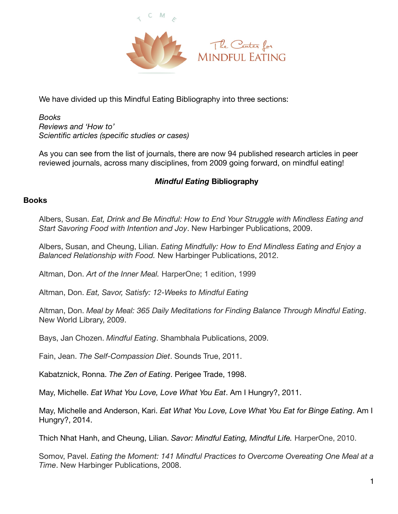

We have divided up this Mindful Eating Bibliography into three sections:

*Books Reviews and 'How to' Scientific articles (specific studies or cases)* 

As you can see from the list of journals, there are now 94 published research articles in peer reviewed journals, across many disciplines, from 2009 going forward, on mindful eating!

## *Mindful Eating* **Bibliography**

## **Books**

Albers, Susan. *Eat, Drink and Be Mindful: How to End Your Struggle with Mindless Eating and Start Savoring Food with Intention and Joy*. New Harbinger Publications, 2009.

Albers, Susan, and Cheung, Lilian. *Eating Mindfully: How to End Mindless Eating and Enjoy a Balanced Relationship with Food.* New Harbinger Publications, 2012.

Altman, Don. *Art of the Inner Meal.* HarperOne; 1 edition, 1999

Altman, Don. *Eat, Savor, Satisfy: 12-Weeks to Mindful Eating*

Altman, Don. *Meal by Meal: 365 Daily Meditations for Finding Balance Through Mindful Eating*. New World Library, 2009.

Bays, Jan Chozen. *Mindful Eating*. Shambhala Publications, 2009.

Fain, Jean. *The Self-Compassion Diet*. Sounds True, 2011.

Kabatznick, Ronna. *The Zen of Eating*. Perigee Trade, 1998.

May, Michelle. *Eat What You Love, Love What You Eat*. Am I Hungry?, 2011.

May, Michelle and Anderson, Kari. *Eat What You Love, Love What You Eat for Binge Eating*. Am I Hungry?, 2014.

Thich Nhat Hanh, and Cheung, Lilian. *Savor: Mindful Eating, Mindful Life.* HarperOne, 2010.

Somov, Pavel. *Eating the Moment: 141 Mindful Practices to Overcome Overeating One Meal at a Time*. New Harbinger Publications, 2008.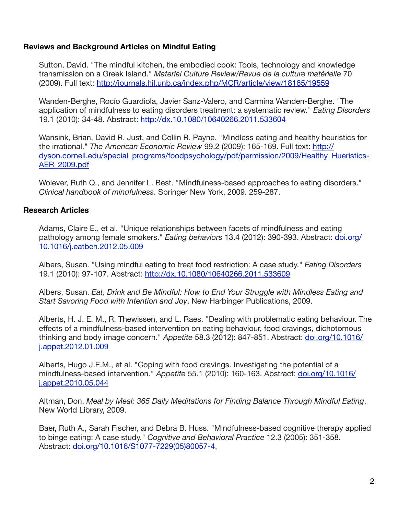## **Reviews and Background Articles on Mindful Eating**

Sutton, David. "The mindful kitchen, the embodied cook: Tools, technology and knowledge transmission on a Greek Island." *Material Culture Review/Revue de la culture matérielle* 70 (2009). Full text: <http://journals.hil.unb.ca/index.php/MCR/article/view/18165/19559>

Wanden-Berghe, Rocío Guardiola, Javier Sanz-Valero, and Carmina Wanden-Berghe. "The application of mindfulness to eating disorders treatment: a systematic review." *Eating Disorders* 19.1 (2010): 34-48. Abstract:<http://dx.10.1080/10640266.2011.533604>

Wansink, Brian, David R. Just, and Collin R. Payne. "Mindless eating and healthy heuristics for the irrational." *The American Economic Review* 99.2 (2009): 165-169. Full text: http:// [dyson.cornell.edu/special\\_programs/foodpsychology/pdf/permission/2009/Healthy\\_Hueristics-](http://dyson.cornell.edu/special_programs/foodpsychology/pdf/permission/2009/Healthy_Hueristics-AER_2009.pdf)AER\_2009.pdf

Wolever, Ruth Q., and Jennifer L. Best. "Mindfulness-based approaches to eating disorders." *Clinical handbook of mindfulness*. Springer New York, 2009. 259-287.

## **Research Articles**

Adams, Claire E., et al. "Unique relationships between facets of mindfulness and eating pathology among female smokers." *Eating behaviors* [13.4 \(2012\): 390-393. Abstract: doi.org/](http://dx.doi.org/10.1016/j.eatbeh.2012.05.009) 10.1016/j.eatbeh.2012.05.009

Albers, Susan. "Using mindful eating to treat food restriction: A case study." *Eating Disorders* 19.1 (2010): 97-107. Abstract: <http://dx.10.1080/10640266.2011.533609>

Albers, Susan. *Eat, Drink and Be Mindful: How to End Your Struggle with Mindless Eating and Start Savoring Food with Intention and Joy*. New Harbinger Publications, 2009.

Alberts, H. J. E. M., R. Thewissen, and L. Raes. "Dealing with problematic eating behaviour. The effects of a mindfulness-based intervention on eating behaviour, food cravings, dichotomous thinking and body image concern." *Appetite* [58.3 \(2012\): 847-851. Abstract: doi.org/10.1016/](http://dx.doi.org/10.1016/j.appet.2012.01.009) j.appet.2012.01.009

Alberts, Hugo J.E.M., et al. "Coping with food cravings. Investigating the potential of a mindfulness-based intervention." *Appetite* [55.1 \(2010\): 160-163. Abstract: doi.org/10.1016/](http://dx.doi.org/10.1016/j.appet.2010.05.044) j.appet.2010.05.044

Altman, Don. *Meal by Meal: 365 Daily Meditations for Finding Balance Through Mindful Eating*. New World Library, 2009.

Baer, Ruth A., Sarah Fischer, and Debra B. Huss. "Mindfulness-based cognitive therapy applied to binge eating: A case study." *Cognitive and Behavioral Practice* 12.3 (2005): 351-358. Abstract: [doi.org/10.1016/S1077-7229\(05\)80057-4,](http://dx.doi.org/10.1016/S1077-7229(05)80057-4)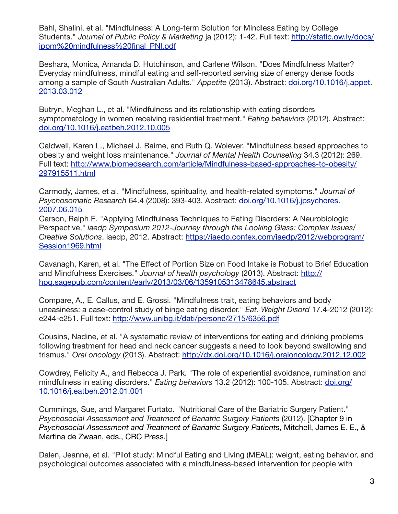Bahl, Shalini, et al. "Mindfulness: A Long-term Solution for Mindless Eating by College Students." *Journal of Public Policy & Marketing* [ja \(2012\): 1-42. Full text: http://static.ow.ly/docs/](http://static.ow.ly/docs/jppm%20mindfulness%20final_PNl.pdf) jppm%20mindfulness%20final\_PNl.pdf

Beshara, Monica, Amanda D. Hutchinson, and Carlene Wilson. "Does Mindfulness Matter? Everyday mindfulness, mindful eating and self-reported serving size of energy dense foods [among a sample of South Australian Adults."](http://dx.doi.org/10.1016/j.appet.2013.03.012) *Appetite* (2013). Abstract: doi.org/10.1016/j.appet. 2013.03.012

Butryn, Meghan L., et al. "Mindfulness and its relationship with eating disorders symptomatology in women receiving residential treatment." *Eating behaviors* (2012). Abstract: [doi.org/10.1016/j.eatbeh.2012.10.005](http://dx.doi.org/10.1016/j.eatbeh.2012.10.005)

Caldwell, Karen L., Michael J. Baime, and Ruth Q. Wolever. "Mindfulness based approaches to obesity and weight loss maintenance." *Journal of Mental Health Counseling* 34.3 (2012): 269. [Full text: http://www.biomedsearch.com/article/Mindfulness-based-approaches-to-obesity/](http://www.biomedsearch.com/article/Mindfulness-based-approaches-to-obesity/297915511.html) 297915511.html

Carmody, James, et al. "Mindfulness, spirituality, and health-related symptoms." *Journal of Psychosomatic Research* [64.4 \(2008\): 393-403. Abstract: doi.org/10.1016/j.jpsychores.](http://dx.doi.org/10.1016/j.jpsychores.2007.06.015) 2007.06.015

Carson, Ralph E. "Applying Mindfulness Techniques to Eating Disorders: A Neurobiologic Perspective." *iaedp Symposium 2012-Journey through the Looking Glass: Complex Issues/ Creative Solutions*[. iaedp, 2012. Abstract: https://iaedp.confex.com/iaedp/2012/webprogram/](https://iaedp.confex.com/iaedp/2012/webprogram/Session1969.html) Session1969.html

Cavanagh, Karen, et al. "The Effect of Portion Size on Food Intake is Robust to Brief Education and Mindfulness Exercises." *Journal of health psychology* (2013). Abstract: http:// [hpq.sagepub.com/content/early/2013/03/06/1359105313478645.abstract](http://hpq.sagepub.com/content/early/2013/03/06/1359105313478645.abstract)

Compare, A., E. Callus, and E. Grossi. "Mindfulness trait, eating behaviors and body uneasiness: a case-control study of binge eating disorder." *Eat. Weight Disord* 17.4-2012 (2012): e244-e251. Full text:<http://www.unibg.it/dati/persone/2715/6356.pdf>

Cousins, Nadine, et al. "A systematic review of interventions for eating and drinking problems following treatment for head and neck cancer suggests a need to look beyond swallowing and trismus." *Oral oncology* (2013). Abstract:<http://dx.doi.org/10.1016/j.oraloncology.2012.12.002>

Cowdrey, Felicity A., and Rebecca J. Park. "The role of experiential avoidance, rumination and mindfulness in eating disorders." *Eating behaviors* [13.2 \(2012\): 100-105. Abstract: doi.org/](http://dx.doi.org/10.1016/j.eatbeh.2012.01.001) 10.1016/j.eatbeh.2012.01.001

Cummings, Sue, and Margaret Furtato. "Nutritional Care of the Bariatric Surgery Patient." *Psychosocial Assessment and Treatment of Bariatric Surgery Patients* (2012). [Chapter 9 in *Psychosocial Assessment and Treatment of Bariatric Surgery Patients*, Mitchell, James E. E., & Martina de Zwaan, eds., CRC Press.]

Dalen, Jeanne, et al. "Pilot study: Mindful Eating and Living (MEAL): weight, eating behavior, and psychological outcomes associated with a mindfulness-based intervention for people with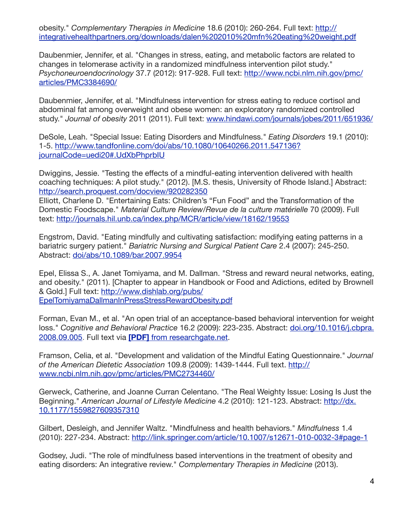obesity." *Complementary Therapies in Medicine* 18.6 (2010): 260-264. Full text: http:// [integrativehealthpartners.org/downloads/dalen%202010%20mfn%20eating%20weight.pdf](http://integrativehealthpartners.org/downloads/dalen%202010%20mfn%20eating%20weight.pdf)

Daubenmier, Jennifer, et al. "Changes in stress, eating, and metabolic factors are related to changes in telomerase activity in a randomized mindfulness intervention pilot study." *Psychoneuroendocrinology* [37.7 \(2012\): 917-928. Full text: http://www.ncbi.nlm.nih.gov/pmc/](http://www.ncbi.nlm.nih.gov/pmc/articles/PMC3384690/) articles/PMC3384690/

Daubenmier, Jennifer, et al. "Mindfulness intervention for stress eating to reduce cortisol and abdominal fat among overweight and obese women: an exploratory randomized controlled study." *Journal of obesity* 2011 (2011). Full text: [www.hindawi.com/journals/jobes/2011/651936/](http://www.hindawi.com/journals/jobes/2011/651936/)

DeSole, Leah. "Special Issue: Eating Disorders and Mindfulness." *Eating Disorders* 19.1 (2010): [1-5. http://www.tandfonline.com/doi/abs/10.1080/10640266.2011.547136?](http://www.tandfonline.com/doi/abs/10.1080/10640266.2011.547136?journalCode=uedi20#.UdXbPhprbIU) journalCode=uedi20#.UdXbPhprbIU

Dwiggins, Jessie. "Testing the effects of a mindful-eating intervention delivered with health coaching techniques: A pilot study." (2012). [M.S. thesis, University of Rhode Island.] Abstract: <http://search.proquest.com/docview/920282350>

Elliott, Charlene D. "Entertaining Eats: Children's "Fun Food" and the Transformation of the Domestic Foodscape." *Material Culture Review/Revue de la culture matérielle* 70 (2009). Full text: <http://journals.hil.unb.ca/index.php/MCR/article/view/18162/19553>

Engstrom, David. "Eating mindfully and cultivating satisfaction: modifying eating patterns in a bariatric surgery patient." *Bariatric Nursing and Surgical Patient Care* 2.4 (2007): 245-250. Abstract: [doi/abs/10.1089/bar.2007.9954](http://online.liebertpub.com/doi/abs/10.1089/bar.2007.9954)

Epel, Elissa S., A. Janet Tomiyama, and M. Dallman. "Stress and reward neural networks, eating, and obesity." (2011). [Chapter to appear in Handbook or Food and Adictions, edited by Brownell & Gold.] Full text: http://www.dishlab.org/pubs/ [EpelTomiyamaDallmanInPressStressRewardObesity.pdf](http://www.dishlab.org/pubs/EpelTomiyamaDallmanInPressStressRewardObesity.pdf)

Forman, Evan M., et al. "An open trial of an acceptance-based behavioral intervention for weight loss." *Cognitive and Behavioral Practice* [16.2 \(2009\): 223-235. Abstract: doi.org/10.1016/j.cbpra.](http://dx.doi.org/10.1016/j.cbpra.2008.09.005) 2008.09.005. Full text via **[PDF]** [from researchgate.net.](http://www.researchgate.net/publication/222661261_An_Open_Trial_of_an_Acceptance-Based_Behavioral_Intervention_for_Weight_Loss/file/d912f5040d4d1e16ef.pdf)

Framson, Celia, et al. "Development and validation of the Mindful Eating Questionnaire." *Journal of the American Dietetic Association* 109.8 (2009): 1439-1444. Full text. http:// [www.ncbi.nlm.nih.gov/pmc/articles/PMC2734460/](http://www.ncbi.nlm.nih.gov/pmc/articles/PMC2734460/)

Gerweck, Catherine, and Joanne Curran Celentano. "The Real Weighty Issue: Losing Is Just the Beginning." *American Journal of Lifestyle Medicine* [4.2 \(2010\): 121-123. Abstract: http://dx.](http://dx.10.1177/1559827609357310) 10.1177/1559827609357310

Gilbert, Desleigh, and Jennifer Waltz. "Mindfulness and health behaviors." *Mindfulness* 1.4 (2010): 227-234. Abstract: <http://link.springer.com/article/10.1007/s12671-010-0032-3#page-1>

Godsey, Judi. "The role of mindfulness based interventions in the treatment of obesity and eating disorders: An integrative review." *Complementary Therapies in Medicine* (2013).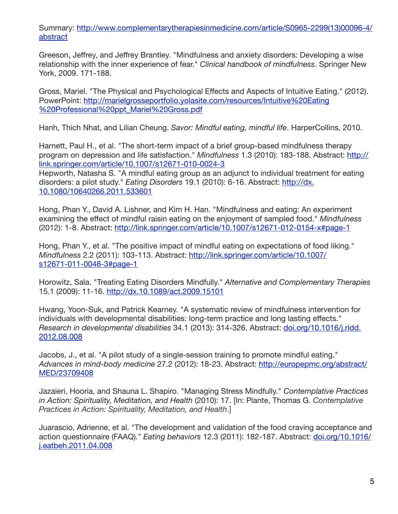[Summary: http://www.complementarytherapiesinmedicine.com/article/S0965-2299\(13\)00096-4/](http://www.complementarytherapiesinmedicine.com/article/S0965-2299(13)00096-4/abstract) abstract

Greeson, Jeffrey, and Jeffrey Brantley. "Mindfulness and anxiety disorders: Developing a wise relationship with the inner experience of fear." *Clinical handbook of mindfulness*. Springer New York, 2009. 171-188.

Gross, Mariel. "The Physical and Psychological Effects and Aspects of Intuitive Eating." (2012). [PowerPoint: http://marielgrosseportfolio.yolasite.com/resources/Intuitive%20Eating](http://marielgrosseportfolio.yolasite.com/resources/Intuitive%20Eating%20Professional%20ppt_Mariel%20Gross.pdf) %20Professional%20ppt\_Mariel%20Gross.pdf

Hanh, Thich Nhat, and Lilian Cheung. *Savor: Mindful eating, mindful life*. HarperCollins, 2010.

Harnett, Paul H., et al. "The short-term impact of a brief group-based mindfulness therapy program on depression and life satisfaction." *Mindfulness* 1.3 (2010): 183-188. Abstract: http:// [link.springer.com/article/10.1007/s12671-010-0024-3](http://link.springer.com/article/10.1007/s12671-010-0024-3)

Hepworth, Natasha S. "A mindful eating group as an adjunct to individual treatment for eating disorders: a pilot study." *Eating Disorders* [19.1 \(2010\): 6-16. Abstract: http://dx.](http://dx.10.1080/10640266.2011.533601) 10.1080/10640266.2011.533601

Hong, Phan Y., David A. Lishner, and Kim H. Han. "Mindfulness and eating: An experiment examining the effect of mindful raisin eating on the enjoyment of sampled food." *Mindfulness* (2012): 1-8. Abstract:<http://link.springer.com/article/10.1007/s12671-012-0154-x#page-1>

Hong, Phan Y., et al. "The positive impact of mindful eating on expectations of food liking." *Mindfulness* [2.2 \(2011\): 103-113. Abstract: http://link.springer.com/article/10.1007/](http://link.springer.com/article/10.1007/s12671-011-0048-3#page-1) s12671-011-0048-3#page-1

Horowitz, Sala. "Treating Eating Disorders Mindfully." *Alternative and Complementary Therapies* 15.1 (2009): 11-16.<http://dx.10.1089/act.2009.15101>

Hwang, Yoon-Suk, and Patrick Kearney. "A systematic review of mindfulness intervention for individuals with developmental disabilities: long-term practice and long lasting effects." *Research in developmental disabilities* [34.1 \(2013\): 314-326. Abstract: doi.org/10.1016/j.ridd.](http://dx.doi.org/10.1016/j.ridd.2012.08.008) 2012.08.008

Jacobs, J., et al. "A pilot study of a single-session training to promote mindful eating." *Advances in mind-body medicine* [27.2 \(2012\): 18-23. Abstract: http://europepmc.org/abstract/](http://europepmc.org/abstract/MED/23709408) MED/23709408

Jazaieri, Hooria, and Shauna L. Shapiro. "Managing Stress Mindfully." *Contemplative Practices in Action: Spirituality, Meditation, and Health* (2010): 17. [In: Plante, Thomas G. *Contemplative Practices in Action: Spirituality, Meditation, and Health*.]

Juarascio, Adrienne, et al. "The development and validation of the food craving acceptance and action questionnaire (FAAQ)." *Eating behaviors* [12.3 \(2011\): 182-187. Abstract: doi.org/10.1016/](http://dx.doi.org/10.1016/j.eatbeh.2011.04.008) j.eatbeh.2011.04.008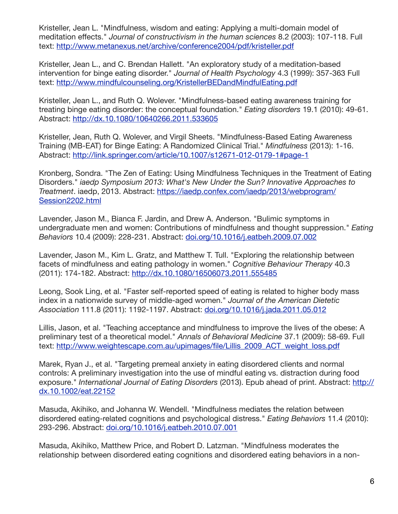Kristeller, Jean L. "Mindfulness, wisdom and eating: Applying a multi-domain model of meditation effects." *Journal of constructivism in the human sciences* 8.2 (2003): 107-118. Full text: <http://www.metanexus.net/archive/conference2004/pdf/kristeller.pdf>

Kristeller, Jean L., and C. Brendan Hallett. "An exploratory study of a meditation-based intervention for binge eating disorder." *Journal of Health Psychology* 4.3 (1999): 357-363 Full text: <http://www.mindfulcounseling.org/KristellerBEDandMindfulEating.pdf>

Kristeller, Jean L., and Ruth Q. Wolever. "Mindfulness-based eating awareness training for treating binge eating disorder: the conceptual foundation." *Eating disorders* 19.1 (2010): 49-61. Abstract:<http://dx.10.1080/10640266.2011.533605>

Kristeller, Jean, Ruth Q. Wolever, and Virgil Sheets. "Mindfulness-Based Eating Awareness Training (MB-EAT) for Binge Eating: A Randomized Clinical Trial." *Mindfulness* (2013): 1-16. Abstract:<http://link.springer.com/article/10.1007/s12671-012-0179-1#page-1>

Kronberg, Sondra. "The Zen of Eating: Using Mindfulness Techniques in the Treatment of Eating Disorders." *iaedp Symposium 2013: What's New Under the Sun? Innovative Approaches to Treatment*[. iaedp, 2013. Abstract: https://iaedp.confex.com/iaedp/2013/webprogram/](https://iaedp.confex.com/iaedp/2013/webprogram/Session2202.html) Session2202.html

Lavender, Jason M., Bianca F. Jardin, and Drew A. Anderson. "Bulimic symptoms in undergraduate men and women: Contributions of mindfulness and thought suppression." *Eating Behaviors* 10.4 (2009): 228-231. Abstract: [doi.org/10.1016/j.eatbeh.2009.07.002](http://dx.doi.org/10.1016/j.eatbeh.2009.07.002)

Lavender, Jason M., Kim L. Gratz, and Matthew T. Tull. "Exploring the relationship between facets of mindfulness and eating pathology in women." *Cognitive Behaviour Therapy* 40.3 (2011): 174-182. Abstract: <http://dx.10.1080/16506073.2011.555485>

Leong, Sook Ling, et al. "Faster self-reported speed of eating is related to higher body mass index in a nationwide survey of middle-aged women." *Journal of the American Dietetic Association* 111.8 (2011): 1192-1197. Abstract: [doi.org/10.1016/j.jada.2011.05.012](http://dx.doi.org/10.1016/j.jada.2011.05.012)

Lillis, Jason, et al. "Teaching acceptance and mindfulness to improve the lives of the obese: A preliminary test of a theoretical model." *Annals of Behavioral Medicine* 37.1 (2009): 58-69. Full text: [http://www.weightescape.com.au/upimages/file/Lillis\\_2009\\_ACT\\_weight\\_loss.pdf](http://www.weightescape.com.au/upimages/file/Lillis_2009_ACT_weight_loss.pdf)

Marek, Ryan J., et al. "Targeting premeal anxiety in eating disordered clients and normal controls: A preliminary investigation into the use of mindful eating vs. distraction during food exposure." *International Journal of Eating Disorders* [\(2013\). Epub ahead of print. Abstract: http://](http://dx.10.1002/eat.22152) dx.10.1002/eat.22152

Masuda, Akihiko, and Johanna W. Wendell. "Mindfulness mediates the relation between disordered eating-related cognitions and psychological distress." *Eating Behaviors* 11.4 (2010): 293-296. Abstract: [doi.org/10.1016/j.eatbeh.2010.07.001](http://dx.doi.org/10.1016/j.eatbeh.2010.07.001)

Masuda, Akihiko, Matthew Price, and Robert D. Latzman. "Mindfulness moderates the relationship between disordered eating cognitions and disordered eating behaviors in a non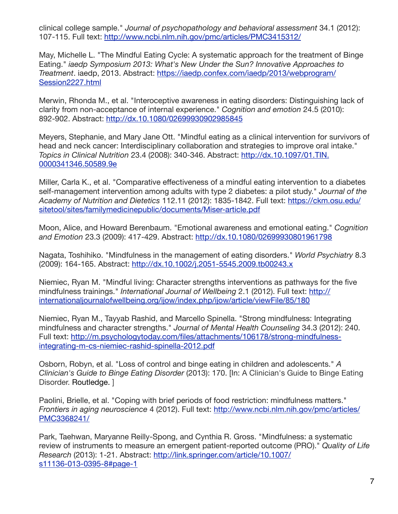clinical college sample." *Journal of psychopathology and behavioral assessment* 34.1 (2012): 107-115. Full text:<http://www.ncbi.nlm.nih.gov/pmc/articles/PMC3415312/>

May, Michelle L. "The Mindful Eating Cycle: A systematic approach for the treatment of Binge Eating." *iaedp Symposium 2013: What's New Under the Sun? Innovative Approaches to Treatment*[. iaedp, 2013. Abstract: https://iaedp.confex.com/iaedp/2013/webprogram/](https://iaedp.confex.com/iaedp/2013/webprogram/Session2227.html) Session2227.html

Merwin, Rhonda M., et al. "Interoceptive awareness in eating disorders: Distinguishing lack of clarity from non-acceptance of internal experience." *Cognition and emotion* 24.5 (2010): 892-902. Abstract:<http://dx.10.1080/02699930902985845>

Meyers, Stephanie, and Mary Jane Ott. "Mindful eating as a clinical intervention for survivors of head and neck cancer: Interdisciplinary collaboration and strategies to improve oral intake." *Topics in Clinical Nutrition* [23.4 \(2008\): 340-346. Abstract: http://dx.10.1097/01.TIN.](http://dx.10.1097/01.TIN.0000341346.50589.9e) 0000341346.50589.9e

Miller, Carla K., et al. "Comparative effectiveness of a mindful eating intervention to a diabetes self-management intervention among adults with type 2 diabetes: a pilot study." *Journal of the Academy of Nutrition and Dietetics* 112.11 (2012): 1835-1842. Full text: https://ckm.osu.edu/ [sitetool/sites/familymedicinepublic/documents/Miser-article.pdf](https://ckm.osu.edu/sitetool/sites/familymedicinepublic/documents/Miser-article.pdf)

Moon, Alice, and Howard Berenbaum. "Emotional awareness and emotional eating." *Cognition and Emotion* 23.3 (2009): 417-429. Abstract: <http://dx.10.1080/02699930801961798>

Nagata, Toshihiko. "Mindfulness in the management of eating disorders." *World Psychiatry* 8.3 (2009): 164-165. Abstract: <http://dx.10.1002/j.2051-5545.2009.tb00243.x>

Niemiec, Ryan M. "Mindful living: Character strengths interventions as pathways for the five mindfulness trainings." *International Journal of Wellbeing* 2.1 (2012). Full text: http:// [internationaljournalofwellbeing.org/ijow/index.php/ijow/article/viewFile/85/180](http://internationaljournalofwellbeing.org/ijow/index.php/ijow/article/viewFile/85/180)

Niemiec, Ryan M., Tayyab Rashid, and Marcello Spinella. "Strong mindfulness: Integrating mindfulness and character strengths." *Journal of Mental Health Counseling* 34.3 (2012): 240. [Full text: http://m.psychologytoday.com/files/attachments/106178/strong-mindfulness](http://m.psychologytoday.com/files/attachments/106178/strong-mindfulness-integrating-m-cs-niemiec-rashid-spinella-2012.pdf)integrating-m-cs-niemiec-rashid-spinella-2012.pdf

Osborn, Robyn, et al. "Loss of control and binge eating in children and adolescents." *A Clinician's Guide to Binge Eating Disorder* (2013): 170. [In: A Clinician's Guide to Binge Eating Disorder. Routledge. ]

Paolini, Brielle, et al. "Coping with brief periods of food restriction: mindfulness matters." *Frontiers in aging neuroscience* [4 \(2012\). Full text: http://www.ncbi.nlm.nih.gov/pmc/articles/](http://www.ncbi.nlm.nih.gov/pmc/articles/PMC3368241/) PMC3368241/

Park, Taehwan, Maryanne Reilly-Spong, and Cynthia R. Gross. "Mindfulness: a systematic review of instruments to measure an emergent patient-reported outcome (PRO)." *Quality of Life Research* [\(2013\): 1-21. Abstract: http://link.springer.com/article/10.1007/](http://link.springer.com/article/10.1007/s11136-013-0395-8#page-1) s11136-013-0395-8#page-1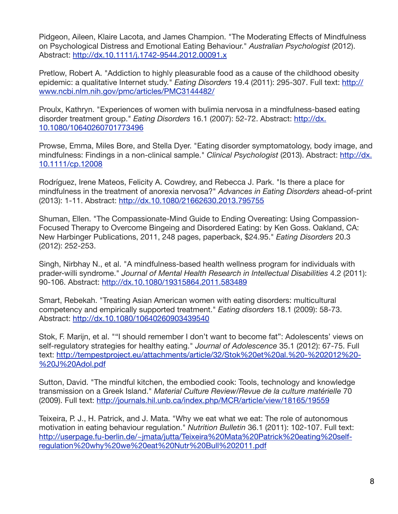Pidgeon, Aileen, Klaire Lacota, and James Champion. "The Moderating Effects of Mindfulness on Psychological Distress and Emotional Eating Behaviour." *Australian Psychologist* (2012). Abstract:<http://dx.10.1111/j.1742-9544.2012.00091.x>

Pretlow, Robert A. "Addiction to highly pleasurable food as a cause of the childhood obesity epidemic: a qualitative Internet study." *Eating Disorders* 19.4 (2011): 295-307. Full text: http:// [www.ncbi.nlm.nih.gov/pmc/articles/PMC3144482/](http://www.ncbi.nlm.nih.gov/pmc/articles/PMC3144482/)

Proulx, Kathryn. "Experiences of women with bulimia nervosa in a mindfulness-based eating disorder treatment group." *Eating Disorders* [16.1 \(2007\): 52-72. Abstract: http://dx.](http://dx.10.1080/10640260701773496) 10.1080/10640260701773496

Prowse, Emma, Miles Bore, and Stella Dyer. "Eating disorder symptomatology, body image, and [mindfulness: Findings in a non](http://dx.10.1111/cp.12008)‐clinical sample." *Clinical Psychologist* (2013). Abstract: http://dx. 10.1111/cp.12008

Rodríguez, Irene Mateos, Felicity A. Cowdrey, and Rebecca J. Park. "Is there a place for mindfulness in the treatment of anorexia nervosa?" *Advances in Eating Disorders* ahead-of-print (2013): 1-11. Abstract: <http://dx.10.1080/21662630.2013.795755>

Shuman, Ellen. "The Compassionate-Mind Guide to Ending Overeating: Using Compassion-Focused Therapy to Overcome Bingeing and Disordered Eating: by Ken Goss. Oakland, CA: New Harbinger Publications, 2011, 248 pages, paperback, \$24.95." *Eating Disorders* 20.3 (2012): 252-253.

Singh, Nirbhay N., et al. "A mindfulness-based health wellness program for individuals with prader-willi syndrome." *Journal of Mental Health Research in Intellectual Disabilities* 4.2 (2011): 90-106. Abstract: <http://dx.10.1080/19315864.2011.583489>

Smart, Rebekah. "Treating Asian American women with eating disorders: multicultural competency and empirically supported treatment." *Eating disorders* 18.1 (2009): 58-73. Abstract:<http://dx.10.1080/10640260903439540>

Stok, F. Marijn, et al. ""I should remember I don't want to become fat": Adolescents' views on self-regulatory strategies for healthy eating." *Journal of Adolescence* 35.1 (2012): 67-75. Full [text: http://tempestproject.eu/attachments/article/32/Stok%20et%20al.%20-%202012%20-](http://tempestproject.eu/attachments/article/32/Stok%20et%20al.%20-%202012%20-%20J%20Adol.pdf) %20J%20Adol.pdf

Sutton, David. "The mindful kitchen, the embodied cook: Tools, technology and knowledge transmission on a Greek Island." *Material Culture Review/Revue de la culture matérielle* 70 (2009). Full text: <http://journals.hil.unb.ca/index.php/MCR/article/view/18165/19559>

Teixeira, P. J., H. Patrick, and J. Mata. "Why we eat what we eat: The role of autonomous motivation in eating behaviour regulation." *Nutrition Bulletin* 36.1 (2011): 102-107. Full text: http://userpage.fu-berlin.de/~imata/jutta/Teixeira%20Mata%20Patrick%20eating%20selfregulation%20why%20we%20eat%20Nutr%20Bull%202011.pdf